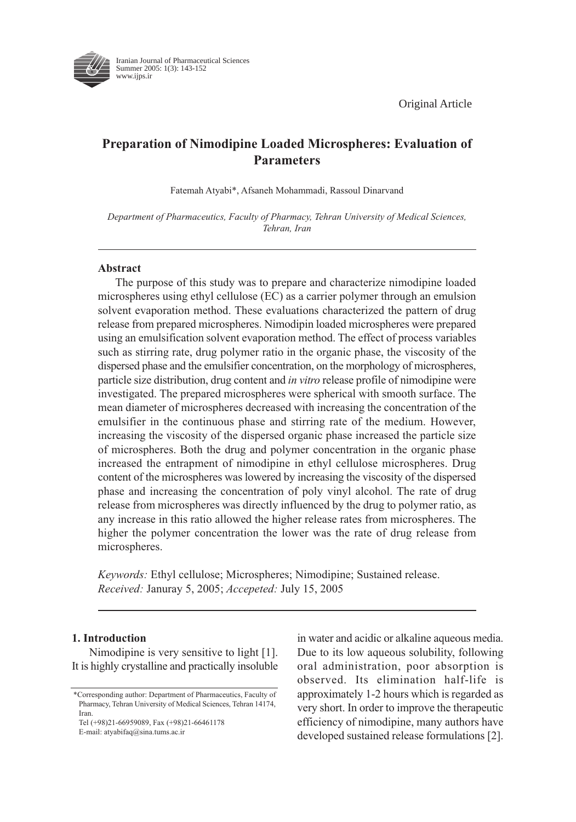Original Article



Iranian Journal of Pharmaceutical Sciences Summer 2005: 1(3): 143-152 www.ijps.ir

# Preparation of Nimodipine Loaded Microspheres: Evaluation of Parameters

Fatemah Atyabi\*, Afsaneh Mohammadi, Rassoul Dinarvand

Department of Pharmaceutics, Faculty of Pharmacy, Tehran University of Medical Sciences, Tehran, Iran

## Abstract

The purpose of this study was to prepare and characterize nimodipine loaded microspheres using ethyl cellulose (EC) as a carrier polymer through an emulsion solvent evaporation method. These evaluations characterized the pattern of drug release from prepared microspheres. Nimodipin loaded microspheres were prepared using an emulsification solvent evaporation method. The effect of process variables such as stirring rate, drug polymer ratio in the organic phase, the viscosity of the dispersed phase and the emulsifier concentration, on the morphology of microspheres, particle size distribution, drug content and in vitro release profile of nimodipine were investigated. The prepared microspheres were spherical with smooth surface. The mean diameter of microspheres decreased with increasing the concentration of the emulsifier in the continuous phase and stirring rate of the medium. However, increasing the viscosity of the dispersed organic phase increased the particle size of microspheres. Both the drug and polymer concentration in the organic phase increased the entrapment of nimodipine in ethyl cellulose microspheres. Drug content of the microspheres was lowered by increasing the viscosity of the dispersed phase and increasing the concentration of poly vinyl alcohol. The rate of drug release from microspheres was directly influenced by the drug to polymer ratio, as any increase in this ratio allowed the higher release rates from microspheres. The higher the polymer concentration the lower was the rate of drug release from microspheres.

Keywords: Ethyl cellulose; Microspheres; Nimodipine; Sustained release. Received: Januray 5, 2005; Accepeted: July 15, 2005

## 1. Introduction

Nimodipine is very sensitive to light [1]. It is highly crystalline and practically insoluble

E-mail: atyabifaq@sina.tums.ac.ir

in water and acidic or alkaline aqueous media. Due to its low aqueous solubility, following oral administration, poor absorption is observed. Its elimination half-life is approximately 1-2 hours which is regarded as very short. In order to improve the therapeutic efficiency of nimodipine, many authors have developed sustained release formulations [2].

<sup>\*</sup>Corresponding author: Department of Pharmaceutics, Faculty of Pharmacy, Tehran University of Medical Sciences, Tehran 14174, Iran.

Tel (+98)21-66959089, Fax (+98)21-66461178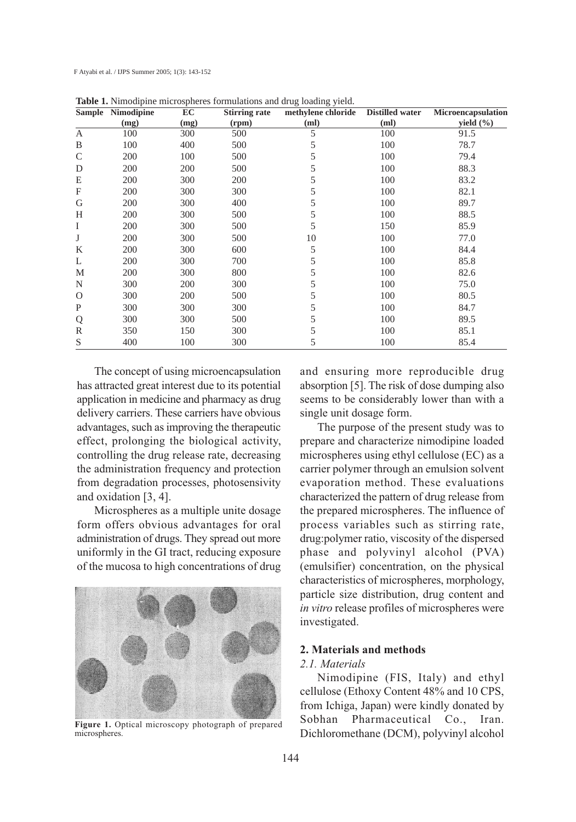|                           | Sample Nimodipine | EC   | Stirring rate | methylene chloride | Distilled water | Microencapsulation |
|---------------------------|-------------------|------|---------------|--------------------|-----------------|--------------------|
|                           | (mg)              | (mg) | (rpm)         | (m <sub>l</sub> )  | (ml)            | yield $(\% )$      |
| A                         | 100               | 300  | 500           | 5                  | 100             | 91.5               |
| B                         | 100               | 400  | 500           | 5                  | 100             | 78.7               |
| $\mathsf{C}$              | 200               | 100  | 500           | 5                  | 100             | 79.4               |
| D                         | 200               | 200  | 500           | 5                  | 100             | 88.3               |
| E                         | 200               | 300  | 200           | 5                  | 100             | 83.2               |
| $\boldsymbol{\mathrm{F}}$ | 200               | 300  | 300           | 5                  | 100             | 82.1               |
| G                         | 200               | 300  | 400           | 5                  | 100             | 89.7               |
| H                         | 200               | 300  | 500           | 5                  | 100             | 88.5               |
| I                         | 200               | 300  | 500           | 5                  | 150             | 85.9               |
| J                         | 200               | 300  | 500           | 10                 | 100             | 77.0               |
| K                         | 200               | 300  | 600           | 5                  | 100             | 84.4               |
| L                         | 200               | 300  | 700           | 5                  | 100             | 85.8               |
| M                         | 200               | 300  | 800           | 5                  | 100             | 82.6               |
| N                         | 300               | 200  | 300           | 5                  | 100             | 75.0               |
| $\Omega$                  | 300               | 200  | 500           | 5                  | 100             | 80.5               |
| P                         | 300               | 300  | 300           | 5                  | 100             | 84.7               |
| Q                         | 300               | 300  | 500           | 5                  | 100             | 89.5               |
| R                         | 350               | 150  | 300           | 5                  | 100             | 85.1               |
| S                         | 400               | 100  | 300           | 5                  | 100             | 85.4               |

**Table 1.** Nimodipine microspheres formulations and drug loading yield.

The concept of using microencapsulation has attracted great interest due to its potential application in medicine and pharmacy as drug delivery carriers. These carriers have obvious advantages, such as improving the therapeutic effect, prolonging the biological activity, controlling the drug release rate, decreasing the administration frequency and protection from degradation processes, photosensivity and oxidation [3, 4].

Microspheres as a multiple unite dosage form offers obvious advantages for oral administration of drugs. They spread out more uniformly in the GI tract, reducing exposure of the mucosa to high concentrations of drug



Figure 1. Optical microscopy photograph of prepared microspheres.

and ensuring more reproducible drug absorption [5]. The risk of dose dumping also seems to be considerably lower than with a single unit dosage form.

The purpose of the present study was to prepare and characterize nimodipine loaded microspheres using ethyl cellulose (EC) as a carrier polymer through an emulsion solvent evaporation method. These evaluations characterized the pattern of drug release from the prepared microspheres. The influence of process variables such as stirring rate, drug:polymer ratio, viscosity of the dispersed phase and polyvinyl alcohol (PVA) (emulsifier) concentration, on the physical characteristics of microspheres, morphology, particle size distribution, drug content and in vitro release profiles of microspheres were investigated.

## 2. Materials and methods

#### 2.1. Materials

Nimodipine (FIS, Italy) and ethyl cellulose (Ethoxy Content 48% and 10 CPS, from Ichiga, Japan) were kindly donated by Sobhan Pharmaceutical Co., Iran. Dichloromethane (DCM), polyvinyl alcohol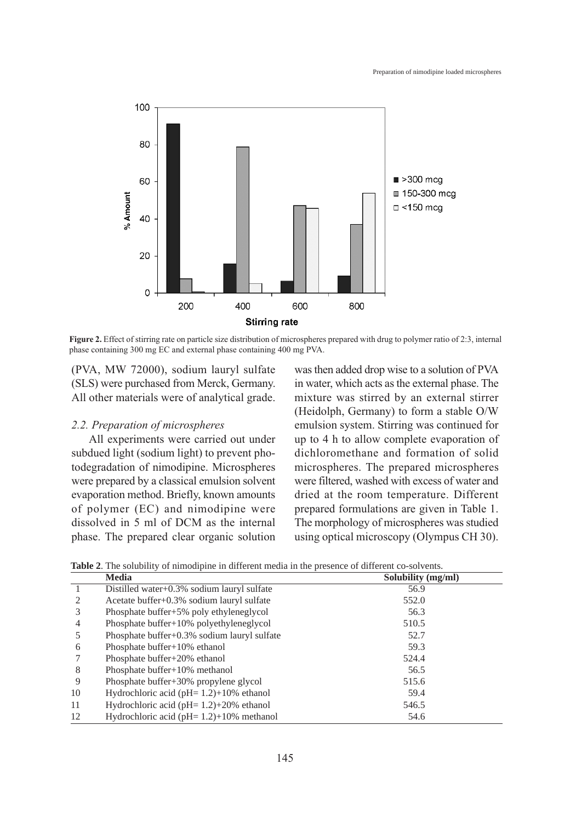

Figure 2. Effect of stirring rate on particle size distribution of microspheres prepared with drug to polymer ratio of 2:3, internal phase containing 300 mg EC and external phase containing 400 mg PVA.

(PVA, MW 72000), sodium lauryl sulfate (SLS) were purchased from Merck, Germany. All other materials were of analytical grade.

## 2.2. Preparation of microspheres

All experiments were carried out under subdued light (sodium light) to prevent photodegradation of nimodipine. Microspheres were prepared by a classical emulsion solvent evaporation method. Briefly, known amounts of polymer (EC) and nimodipine were dissolved in 5 ml of DCM as the internal phase. The prepared clear organic solution

was then added drop wise to a solution of PVA in water, which acts as the external phase. The mixture was stirred by an external stirrer (Heidolph, Germany) to form a stable O/W emulsion system. Stirring was continued for up to 4 h to allow complete evaporation of dichloromethane and formation of solid microspheres. The prepared microspheres were filtered, washed with excess of water and dried at the room temperature. Different prepared formulations are given in Table 1. The morphology of microspheres was studied using optical microscopy (Olympus CH 30).

|    | <b>Media</b>                                  | Solubility (mg/ml) |
|----|-----------------------------------------------|--------------------|
|    | Distilled water+0.3% sodium lauryl sulfate    | 56.9               |
|    | Acetate buffer+0.3% sodium lauryl sulfate     | 552.0              |
| 3  | Phosphate buffer+5% poly ethyleneglycol       | 56.3               |
| 4  | Phosphate buffer+10% polyethyleneglycol       | 510.5              |
|    | Phosphate buffer+0.3% sodium lauryl sulfate   | 52.7               |
| 6  | Phosphate buffer+10% ethanol                  | 59.3               |
|    | Phosphate buffer+20% ethanol                  | 524.4              |
| 8  | Phosphate buffer+10% methanol                 | 56.5               |
| 9  | Phosphate buffer+30% propylene glycol         | 515.6              |
| 10 | Hydrochloric acid (pH= $1.2$ )+10% ethanol    | 59.4               |
| 11 | Hydrochloric acid ( $pH = 1.2$ )+20% ethanol  | 546.5              |
| 12 | Hydrochloric acid ( $pH = 1.2$ )+10% methanol | 54.6               |

**Table 2**. The solubility of nimodipine in different media in the presence of different co-solvents.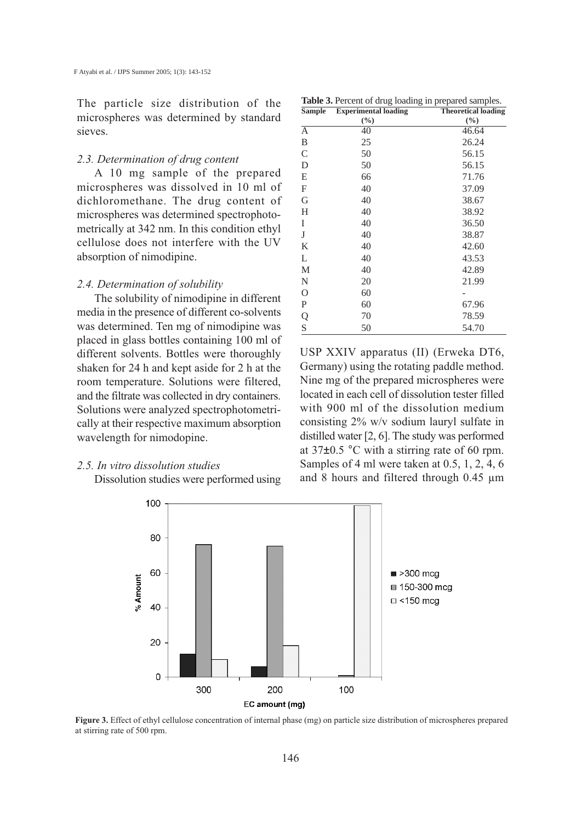The particle size distribution of the microspheres was determined by standard sieves.

#### 2.3. Determination of drug content

A 10 mg sample of the prepared microspheres was dissolved in 10 ml of dichloromethane. The drug content of microspheres was determined spectrophotometrically at 342 nm. In this condition ethyl cellulose does not interfere with the UV absorption of nimodipine.

#### 2.4. Determination of solubility

The solubility of nimodipine in different media in the presence of different co-solvents was determined. Ten mg of nimodipine was placed in glass bottles containing 100 ml of different solvents. Bottles were thoroughly shaken for 24 h and kept aside for 2 h at the room temperature. Solutions were filtered, and the filtrate was collected in dry containers. Solutions were analyzed spectrophotometrically at their respective maximum absorption wavelength for nimodopine.

## 2.5. In vitro dissolution studies

Dissolution studies were performed using

| Table 3. Percent of drug loading in prepared samples. |  |  |
|-------------------------------------------------------|--|--|
|-------------------------------------------------------|--|--|

| <b>Sample</b> | <b>Experimental loading</b> | <b>Theoretical loading</b> |
|---------------|-----------------------------|----------------------------|
|               | $(\%)$                      | $(\%)$                     |
| A             | 40                          | 46.64                      |
| B             | 25                          | 26.24                      |
| C             | 50                          | 56.15                      |
| D             | 50                          | 56.15                      |
| E             | 66                          | 71.76                      |
| F             | 40                          | 37.09                      |
| G             | 40                          | 38.67                      |
| H             | 40                          | 38.92                      |
| I             | 40                          | 36.50                      |
| J             | 40                          | 38.87                      |
| K             | 40                          | 42.60                      |
| L             | 40                          | 43.53                      |
| M             | 40                          | 42.89                      |
| N             | 20                          | 21.99                      |
| O             | 60                          |                            |
| $\mathbf P$   | 60                          | 67.96                      |
| Q<br>S        | 70                          | 78.59                      |
|               | 50                          | 54.70                      |

USP XXIV apparatus (II) (Erweka DT6, Germany) using the rotating paddle method. Nine mg of the prepared microspheres were located in each cell of dissolution tester filled with 900 ml of the dissolution medium consisting 2% w/v sodium lauryl sulfate in distilled water [2, 6]. The study was performed at 37±0.5 °C with a stirring rate of 60 rpm. Samples of 4 ml were taken at 0.5, 1, 2, 4, 6 and 8 hours and filtered through 0.45 µm



Figure 3. Effect of ethyl cellulose concentration of internal phase (mg) on particle size distribution of microspheres prepared at stirring rate of 500 rpm.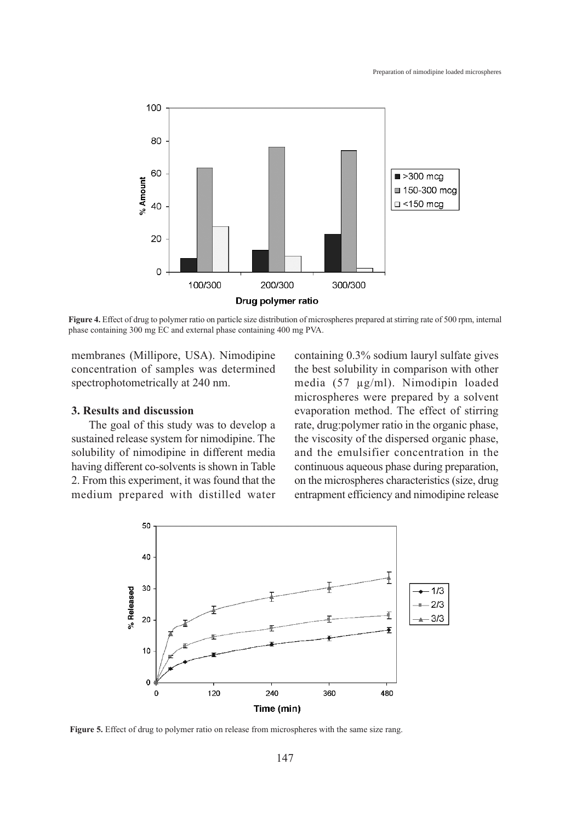

Figure 4. Effect of drug to polymer ratio on particle size distribution of microspheres prepared at stirring rate of 500 rpm, internal phase containing 300 mg EC and external phase containing 400 mg PVA.

membranes (Millipore, USA). Nimodipine concentration of samples was determined spectrophotometrically at 240 nm.

## 3. Results and discussion

The goal of this study was to develop a sustained release system for nimodipine. The solubility of nimodipine in different media having different co-solvents is shown in Table 2. From this experiment, it was found that the medium prepared with distilled water containing 0.3% sodium lauryl sulfate gives the best solubility in comparison with other media (57 µg/ml). Nimodipin loaded microspheres were prepared by a solvent evaporation method. The effect of stirring rate, drug:polymer ratio in the organic phase, the viscosity of the dispersed organic phase, and the emulsifier concentration in the continuous aqueous phase during preparation, on the microspheres characteristics (size, drug entrapment efficiency and nimodipine release



Figure 5. Effect of drug to polymer ratio on release from microspheres with the same size rang.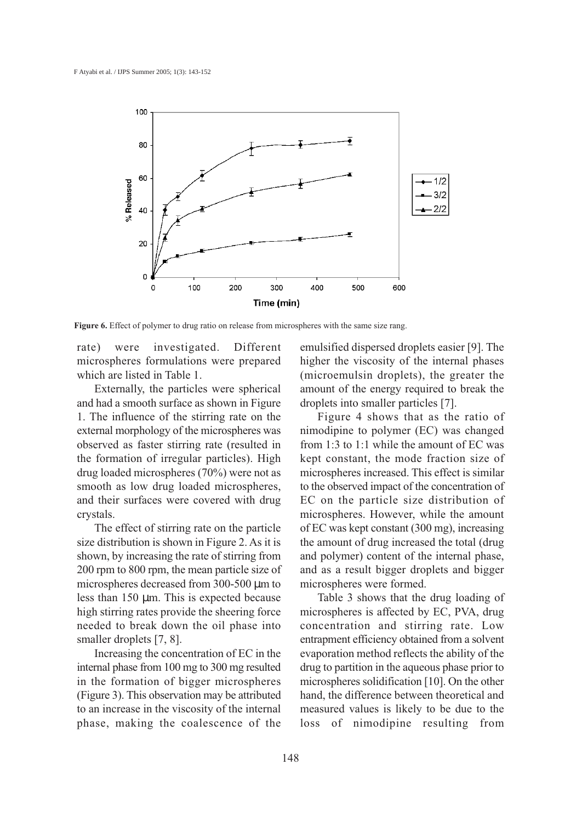

Figure 6. Effect of polymer to drug ratio on release from microspheres with the same size rang.

rate) were investigated. Different microspheres formulations were prepared which are listed in Table 1.

Externally, the particles were spherical and had a smooth surface as shown in Figure 1. The influence of the stirring rate on the external morphology of the microspheres was observed as faster stirring rate (resulted in the formation of irregular particles). High drug loaded microspheres (70%) were not as smooth as low drug loaded microspheres, and their surfaces were covered with drug crystals.

The effect of stirring rate on the particle size distribution is shown in Figure 2. As it is shown, by increasing the rate of stirring from 200 rpm to 800 rpm, the mean particle size of microspheres decreased from 300-500  $\mu$ m to less than 150 µm. This is expected because high stirring rates provide the sheering force needed to break down the oil phase into smaller droplets [7, 8].

Increasing the concentration of EC in the internal phase from 100 mg to 300 mg resulted in the formation of bigger microspheres (Figure 3). This observation may be attributed to an increase in the viscosity of the internal phase, making the coalescence of the emulsified dispersed droplets easier [9]. The higher the viscosity of the internal phases (microemulsin droplets), the greater the amount of the energy required to break the droplets into smaller particles [7].

Figure 4 shows that as the ratio of nimodipine to polymer (EC) was changed from 1:3 to 1:1 while the amount of EC was kept constant, the mode fraction size of microspheres increased. This effect is similar to the observed impact of the concentration of EC on the particle size distribution of microspheres. However, while the amount of EC was kept constant (300 mg), increasing the amount of drug increased the total (drug and polymer) content of the internal phase, and as a result bigger droplets and bigger microspheres were formed.

Table 3 shows that the drug loading of microspheres is affected by EC, PVA, drug concentration and stirring rate. Low entrapment efficiency obtained from a solvent evaporation method reflects the ability of the drug to partition in the aqueous phase prior to microspheres solidification [10]. On the other hand, the difference between theoretical and measured values is likely to be due to the loss of nimodipine resulting from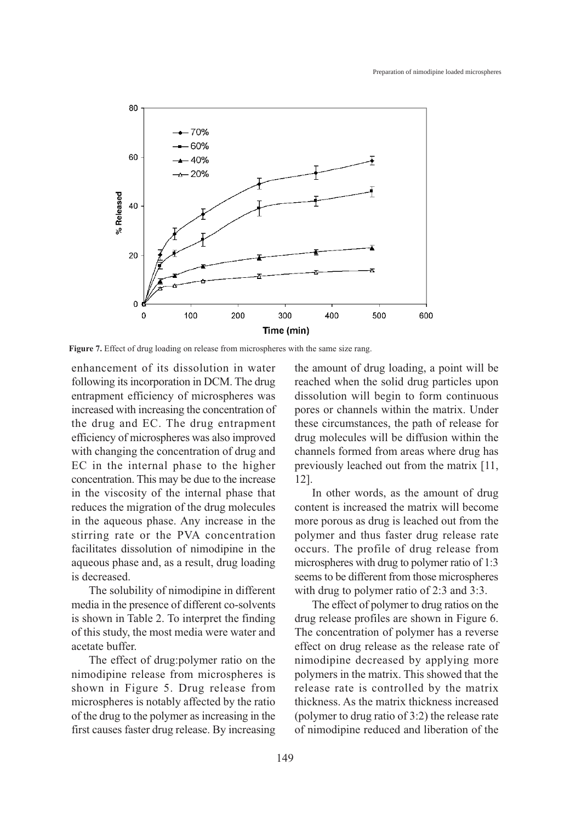

Figure 7. Effect of drug loading on release from microspheres with the same size rang.

enhancement of its dissolution in water following its incorporation in DCM. The drug entrapment efficiency of microspheres was increased with increasing the concentration of the drug and EC. The drug entrapment efficiency of microspheres was also improved with changing the concentration of drug and EC in the internal phase to the higher concentration. This may be due to the increase in the viscosity of the internal phase that reduces the migration of the drug molecules in the aqueous phase. Any increase in the stirring rate or the PVA concentration facilitates dissolution of nimodipine in the aqueous phase and, as a result, drug loading is decreased.

The solubility of nimodipine in different media in the presence of different co-solvents is shown in Table 2. To interpret the finding of this study, the most media were water and acetate buffer.

The effect of drug:polymer ratio on the nimodipine release from microspheres is shown in Figure 5. Drug release from microspheres is notably affected by the ratio of the drug to the polymer as increasing in the first causes faster drug release. By increasing the amount of drug loading, a point will be reached when the solid drug particles upon dissolution will begin to form continuous pores or channels within the matrix. Under these circumstances, the path of release for drug molecules will be diffusion within the channels formed from areas where drug has previously leached out from the matrix [11, 12].

In other words, as the amount of drug content is increased the matrix will become more porous as drug is leached out from the polymer and thus faster drug release rate occurs. The profile of drug release from microspheres with drug to polymer ratio of 1:3 seems to be different from those microspheres with drug to polymer ratio of 2:3 and 3:3.

The effect of polymer to drug ratios on the drug release profiles are shown in Figure 6. The concentration of polymer has a reverse effect on drug release as the release rate of nimodipine decreased by applying more polymers in the matrix. This showed that the release rate is controlled by the matrix thickness. As the matrix thickness increased (polymer to drug ratio of 3:2) the release rate of nimodipine reduced and liberation of the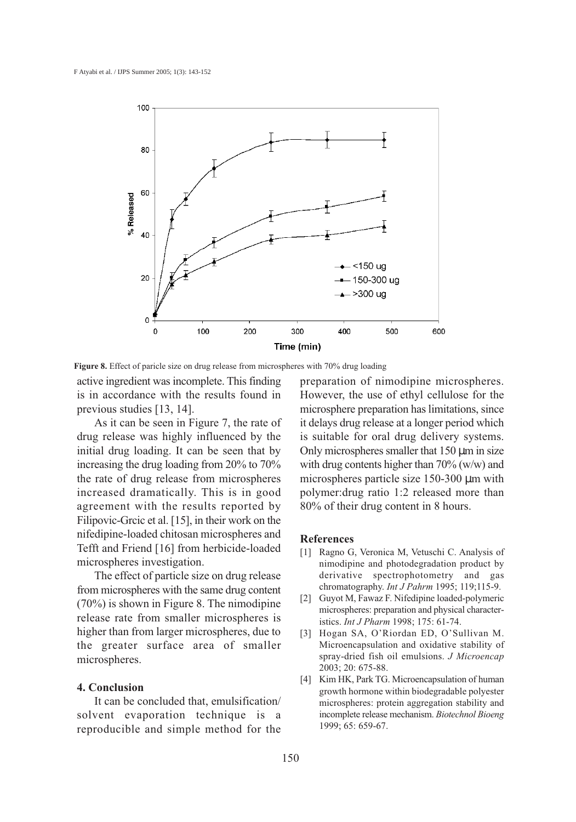![](_page_7_Figure_1.jpeg)

Figure 8. Effect of paricle size on drug release from microspheres with 70% drug loading

active ingredient was incomplete. This finding is in accordance with the results found in previous studies [13, 14].

As it can be seen in Figure 7, the rate of drug release was highly influenced by the initial drug loading. It can be seen that by increasing the drug loading from 20% to 70% the rate of drug release from microspheres increased dramatically. This is in good agreement with the results reported by Filipovic-Grcic et al. [15], in their work on the nifedipine-loaded chitosan microspheres and Tefft and Friend [16] from herbicide-loaded microspheres investigation.

The effect of particle size on drug release from microspheres with the same drug content (70%) is shown in Figure 8. The nimodipine release rate from smaller microspheres is higher than from larger microspheres, due to the greater surface area of smaller microspheres.

#### 4. Conclusion

It can be concluded that, emulsification/ solvent evaporation technique is a reproducible and simple method for the preparation of nimodipine microspheres. However, the use of ethyl cellulose for the microsphere preparation has limitations, since it delays drug release at a longer period which is suitable for oral drug delivery systems. Only microspheres smaller that  $150 \mu m$  in size with drug contents higher than 70% (w/w) and microspheres particle size 150-300 µm with polymer:drug ratio 1:2 released more than 80% of their drug content in 8 hours.

## References

- [1] Ragno G, Veronica M, Vetuschi C. Analysis of nimodipine and photodegradation product by derivative spectrophotometry and gas chromatography. Int J Pahrm 1995; 119;115-9.
- [2] Guyot M, Fawaz F. Nifedipine loaded-polymeric microspheres: preparation and physical characteristics. Int J Pharm 1998; 175: 61-74.
- [3] Hogan SA, O'Riordan ED, O'Sullivan M. Microencapsulation and oxidative stability of spray-dried fish oil emulsions. J Microencap 2003; 20: 675-88.
- [4] Kim HK, Park TG. Microencapsulation of human growth hormone within biodegradable polyester microspheres: protein aggregation stability and incomplete release mechanism. Biotechnol Bioeng 1999; 65: 659-67.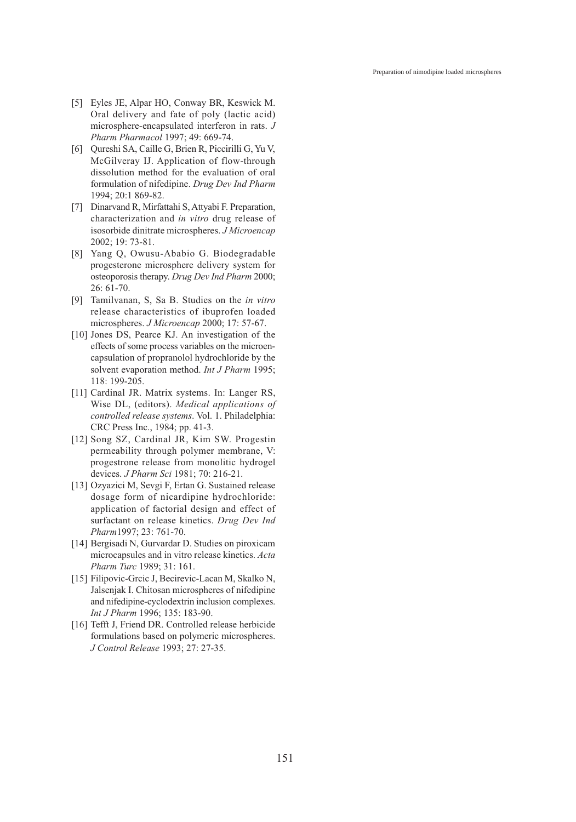Preparation of nimodipine loaded microspheres

- [5] Eyles JE, Alpar HO, Conway BR, Keswick M. Oral delivery and fate of poly (lactic acid) microsphere-encapsulated interferon in rats. J Pharm Pharmacol 1997; 49: 669-74.
- [6] Qureshi SA, Caille G, Brien R, Piccirilli G, Yu V, McGilveray IJ. Application of flow-through dissolution method for the evaluation of oral formulation of nifedipine. Drug Dev Ind Pharm 1994; 20:1 869-82.
- [7] Dinarvand R, Mirfattahi S, Attyabi F. Preparation, characterization and in vitro drug release of isosorbide dinitrate microspheres. J Microencap 2002; 19: 73-81.
- [8] Yang Q, Owusu-Ababio G. Biodegradable progesterone microsphere delivery system for osteoporosis therapy. Drug Dev Ind Pharm 2000; 26: 61-70.
- [9] Tamilvanan, S, Sa B. Studies on the in vitro release characteristics of ibuprofen loaded microspheres. *J Microencap* 2000; 17: 57-67.
- [10] Jones DS, Pearce KJ. An investigation of the effects of some process variables on the microencapsulation of propranolol hydrochloride by the solvent evaporation method. Int J Pharm 1995; 118: 199-205.
- [11] Cardinal JR. Matrix systems. In: Langer RS, Wise DL, (editors). Medical applications of controlled release systems. Vol. 1. Philadelphia: CRC Press Inc., 1984; pp. 41-3.
- [12] Song SZ, Cardinal JR, Kim SW. Progestin permeability through polymer membrane, V: progestrone release from monolitic hydrogel devices. J Pharm Sci 1981; 70: 216-21.
- [13] Ozyazici M, Sevgi F, Ertan G. Sustained release dosage form of nicardipine hydrochloride: application of factorial design and effect of surfactant on release kinetics. Drug Dev Ind Pharm1997; 23: 761-70.
- [14] Bergisadi N, Gurvardar D. Studies on piroxicam microcapsules and in vitro release kinetics. Acta Pharm Turc 1989; 31: 161.
- [15] Filipovic-Grcic J, Becirevic-Lacan M, Skalko N, Jalsenjak I. Chitosan microspheres of nifedipine and nifedipine-cyclodextrin inclusion complexes. Int J Pharm 1996; 135: 183-90.
- [16] Tefft J, Friend DR. Controlled release herbicide formulations based on polymeric microspheres. J Control Release 1993; 27: 27-35.